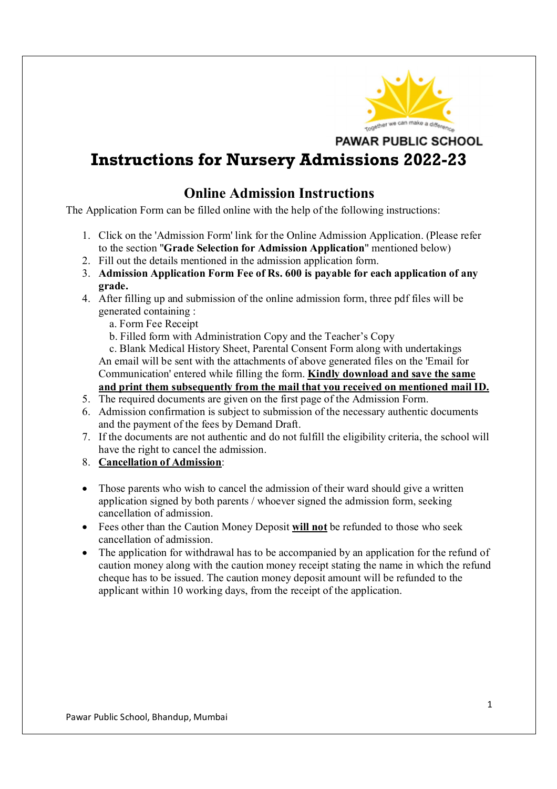

**PAWAR PUBLIC SCHOOL** 

# **Instructions for Nursery Admissions 2022-23**

### **Online Admission Instructions**

The Application Form can be filled online with the help of the following instructions:

- 1. Click on the 'Admission Form' link for the Online Admission Application. (Please refer to the section "**Grade Selection for Admission Application**" mentioned below)
- 2. Fill out the details mentioned in the admission application form.
- 3. **Admission Application Form Fee of Rs. 600 is payable for each application of any grade.**
- 4. After filling up and submission of the online admission form, three pdf files will be generated containing :
	- a. Form Fee Receipt
	- b. Filled form with Administration Copy and the Teacher's Copy

 c. Blank Medical History Sheet, Parental Consent Form along with undertakings An email will be sent with the attachments of above generated files on the 'Email for Communication' entered while filling the form. **Kindly download and save the same and print them subsequently from the mail that you received on mentioned mail ID.**

- 5. The required documents are given on the first page of the Admission Form.
- 6. Admission confirmation is subject to submission of the necessary authentic documents and the payment of the fees by Demand Draft.
- 7. If the documents are not authentic and do not fulfill the eligibility criteria, the school will have the right to cancel the admission.
- 8. **Cancellation of Admission**:
- Those parents who wish to cancel the admission of their ward should give a written application signed by both parents / whoever signed the admission form, seeking cancellation of admission.
- Fees other than the Caution Money Deposit **will not** be refunded to those who seek cancellation of admission.
- The application for withdrawal has to be accompanied by an application for the refund of caution money along with the caution money receipt stating the name in which the refund cheque has to be issued. The caution money deposit amount will be refunded to the applicant within 10 working days, from the receipt of the application.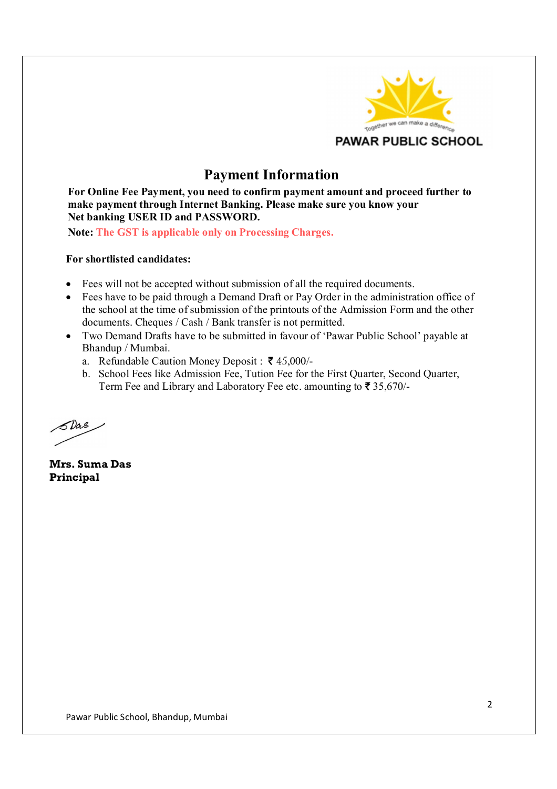

## **Payment Information**

**For Online Fee Payment, you need to confirm payment amount and proceed further to make payment through Internet Banking. Please make sure you know your Net banking USER ID and PASSWORD.** 

**Note: The GST is applicable only on Processing Charges.**

#### **For shortlisted candidates:**

- Fees will not be accepted without submission of all the required documents.
- Fees have to be paid through a Demand Draft or Pay Order in the administration office of the school at the time of submission of the printouts of the Admission Form and the other documents. Cheques / Cash / Bank transfer is not permitted.
- Two Demand Drafts have to be submitted in favour of 'Pawar Public School' payable at Bhandup / Mumbai.
	- a. Refundable Caution Money Deposit :  $\bar{\mathbf{\mathcal{F}}}$  45,000/-
	- b. School Fees like Admission Fee, Tution Fee for the First Quarter, Second Quarter, Term Fee and Library and Laboratory Fee etc. amounting to  $\bar{\mathbf{\mathcal{F}}}$  35,670/-

5 Das

**Mrs. Suma Das Principal**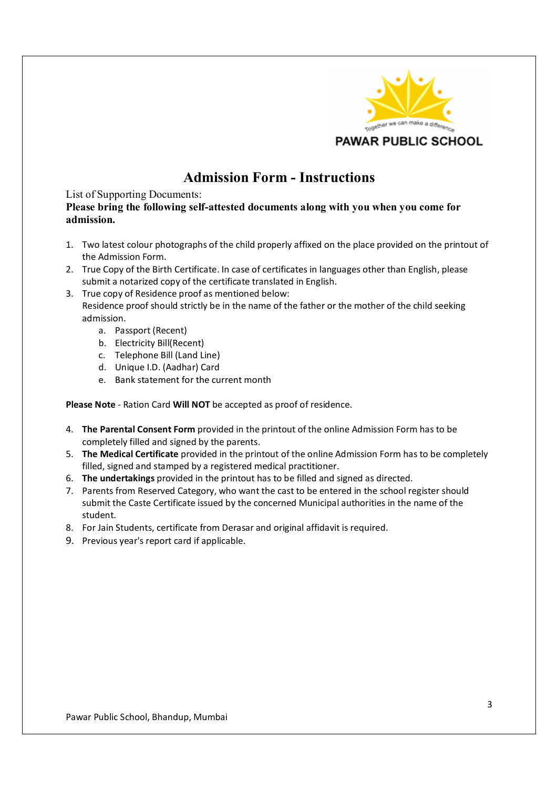

# **Admission Form - Instructions**

#### List of Supporting Documents:

**Please bring the following self-attested documents along with you when you come for admission.**

- 1. Two latest colour photographs of the child properly affixed on the place provided on the printout of the Admission Form.
- 2. True Copy of the Birth Certificate. In case of certificates in languages other than English, please submit a notarized copy of the certificate translated in English.
- 3. True copy of Residence proof as mentioned below: Residence proof should strictly be in the name of the father or the mother of the child seeking admission.
	- a. Passport (Recent)
	- b. Electricity Bill(Recent)
	- c. Telephone Bill (Land Line)
	- d. Unique I.D. (Aadhar) Card
	- e. Bank statement for the current month

**Please Note** - Ration Card **Will NOT** be accepted as proof of residence.

- 4. **The Parental Consent Form** provided in the printout of the online Admission Form has to be completely filled and signed by the parents.
- 5. **The Medical Certificate** provided in the printout of the online Admission Form has to be completely filled, signed and stamped by a registered medical practitioner.
- 6. **The undertakings** provided in the printout has to be filled and signed as directed.
- 7. Parents from Reserved Category, who want the cast to be entered in the school register should submit the Caste Certificate issued by the concerned Municipal authorities in the name of the student.
- 8. For Jain Students, certificate from Derasar and original affidavit is required.
- 9. Previous year's report card if applicable.